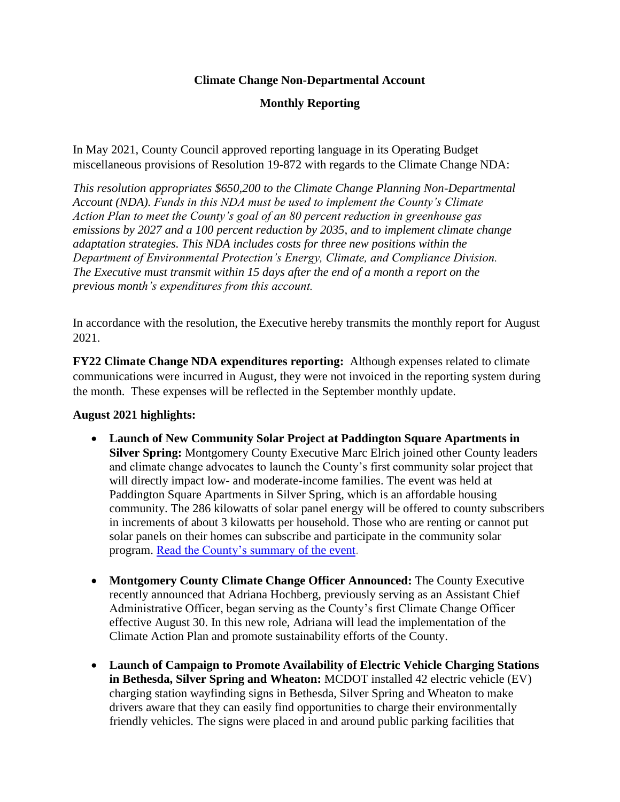## **Climate Change Non-Departmental Account**

## **Monthly Reporting**

In May 2021, County Council approved reporting language in its Operating Budget miscellaneous provisions of Resolution 19-872 with regards to the Climate Change NDA:

*This resolution appropriates \$650,200 to the Climate Change Planning Non-Departmental Account (NDA). Funds in this NDA must be used to implement the County's Climate Action Plan to meet the County's goal of an 80 percent reduction in greenhouse gas emissions by 2027 and a 100 percent reduction by 2035, and to implement climate change adaptation strategies. This NDA includes costs for three new positions within the Department of Environmental Protection's Energy, Climate, and Compliance Division. The Executive must transmit within 15 days after the end of a month a report on the previous month's expenditures from this account.*

In accordance with the resolution, the Executive hereby transmits the monthly report for August 2021.

**FY22 Climate Change NDA expenditures reporting:** Although expenses related to climate communications were incurred in August, they were not invoiced in the reporting system during the month. These expenses will be reflected in the September monthly update.

## **August 2021 highlights:**

- **Launch of New Community Solar Project at Paddington Square Apartments in Silver Spring:** Montgomery County Executive Marc Elrich joined other County leaders and climate change advocates to launch the County's first community solar project that will directly impact low- and moderate-income families. The event was held at Paddington Square Apartments in Silver Spring, which is an affordable housing community. The 286 kilowatts of solar panel energy will be offered to county subscribers in increments of about 3 kilowatts per household. Those who are renting or cannot put solar panels on their homes can subscribe and participate in the community solar program. [Read the County's summary](https://gcc02.safelinks.protection.outlook.com/?url=https%3A%2F%2Flnks.gd%2Fl%2FeyJhbGciOiJIUzI1NiJ9.eyJidWxsZXRpbl9saW5rX2lkIjoxMDUsInVyaSI6ImJwMjpjbGljayIsImJ1bGxldGluX2lkIjoiMjAyMTA5MDguNDU2MzUwMTEiLCJ1cmwiOiJodHRwczovL21vbnRnb21lcnljb21kLmJsb2dzcG90LmNvbS8yMDIxLzA4L2NvdW50eS1leGVjdXRpdmUtZWxyaWNoLWFuZC1jb3VudHkuaHRtbCJ9.w7paIfaUT-jJTXrd0UZAOYkW-JwpzgpHu9tkSnIl-OA%2Fs%2F1796124449%2Fbr%2F112048187084-l&data=04%7C01%7Cadriana.hochberg%40montgomerycountymd.gov%7Cacdd9950d9ff40dbaa6808d972ea2872%7C6e01b1f9b1e54073ac97778069a0ad64%7C0%7C1%7C637667172352083048%7CUnknown%7CTWFpbGZsb3d8eyJWIjoiMC4wLjAwMDAiLCJQIjoiV2luMzIiLCJBTiI6Ik1haWwiLCJXVCI6Mn0%3D%7C3000&sdata=TA8SxfRp7XTWPPRpjGZLxXFytXn4SQGc6D3S%2FyTwUC8%3D&reserved=0) of the event.
- **Montgomery County Climate Change Officer Announced:** The County Executive recently announced that Adriana Hochberg, previously serving as an Assistant Chief Administrative Officer, began serving as the County's first Climate Change Officer effective August 30. In this new role, Adriana will lead the implementation of the Climate Action Plan and promote sustainability efforts of the County.
- **Launch of Campaign to Promote Availability of Electric Vehicle Charging Stations in Bethesda, Silver Spring and Wheaton:** MCDOT installed 42 electric vehicle (EV) charging station wayfinding signs in Bethesda, Silver Spring and Wheaton to make drivers aware that they can easily find opportunities to charge their environmentally friendly vehicles. The signs were placed in and around public parking facilities that